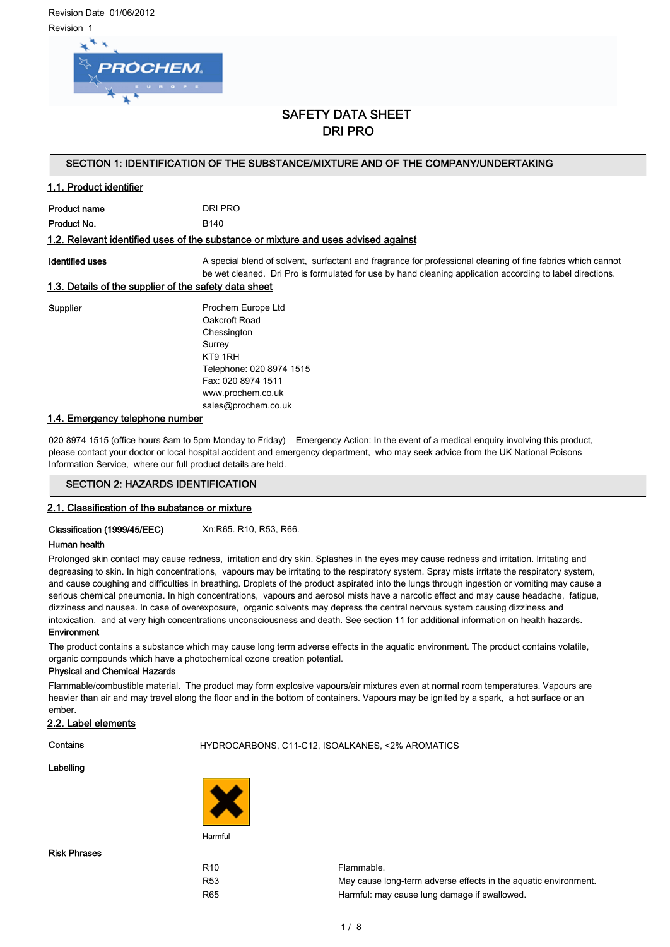Revision Date 01/06/2012 Revision 1



# SAFETY DATA SHEET DRI PRO

## SECTION 1: IDENTIFICATION OF THE SUBSTANCE/MIXTURE AND OF THE COMPANY/UNDERTAKING

## 1.1. Product identifier

| Product name | DRI PRO          |
|--------------|------------------|
| Product No.  | B <sub>140</sub> |

## 1.2. Relevant identified uses of the substance or mixture and uses advised against

Identified uses **A** special blend of solvent, surfactant and fragrance for professional cleaning of fine fabrics which cannot be wet cleaned. Dri Pro is formulated for use by hand cleaning application according to label directions.

## 1.3. Details of the supplier of the safety data sheet

Supplier **Prochem Europe Ltd** Oakcroft Road Chessington Surrey KT9 1RH Telephone: 020 8974 1515 Fax: 020 8974 1511 www.prochem.co.uk sales@prochem.co.uk

## 1.4. Emergency telephone number

020 8974 1515 (office hours 8am to 5pm Monday to Friday) Emergency Action: In the event of a medical enquiry involving this product, please contact your doctor or local hospital accident and emergency department, who may seek advice from the UK National Poisons Information Service, where our full product details are held.

## SECTION 2: HAZARDS IDENTIFICATION

## 2.1. Classification of the substance or mixture

Classification (1999/45/EEC) Xn;R65. R10, R53, R66.

## Human health

Prolonged skin contact may cause redness, irritation and dry skin. Splashes in the eyes may cause redness and irritation. Irritating and degreasing to skin. In high concentrations, vapours may be irritating to the respiratory system. Spray mists irritate the respiratory system, and cause coughing and difficulties in breathing. Droplets of the product aspirated into the lungs through ingestion or vomiting may cause a serious chemical pneumonia. In high concentrations, vapours and aerosol mists have a narcotic effect and may cause headache, fatigue, dizziness and nausea. In case of overexposure, organic solvents may depress the central nervous system causing dizziness and intoxication, and at very high concentrations unconsciousness and death. See section 11 for additional information on health hazards. Environment

The product contains a substance which may cause long term adverse effects in the aquatic environment. The product contains volatile, organic compounds which have a photochemical ozone creation potential.

#### Physical and Chemical Hazards

Flammable/combustible material. The product may form explosive vapours/air mixtures even at normal room temperatures. Vapours are heavier than air and may travel along the floor and in the bottom of containers. Vapours may be ignited by a spark, a hot surface or an ember.

## 2.2. Label elements

## Contains HYDROCARBONS, C11-C12, ISOALKANES, <2% AROMATICS

#### Labelling



Risk Phrases

R10 Flammable. R53 May cause long-term adverse effects in the aquatic environment. R65 **Harmful:** may cause lung damage if swallowed.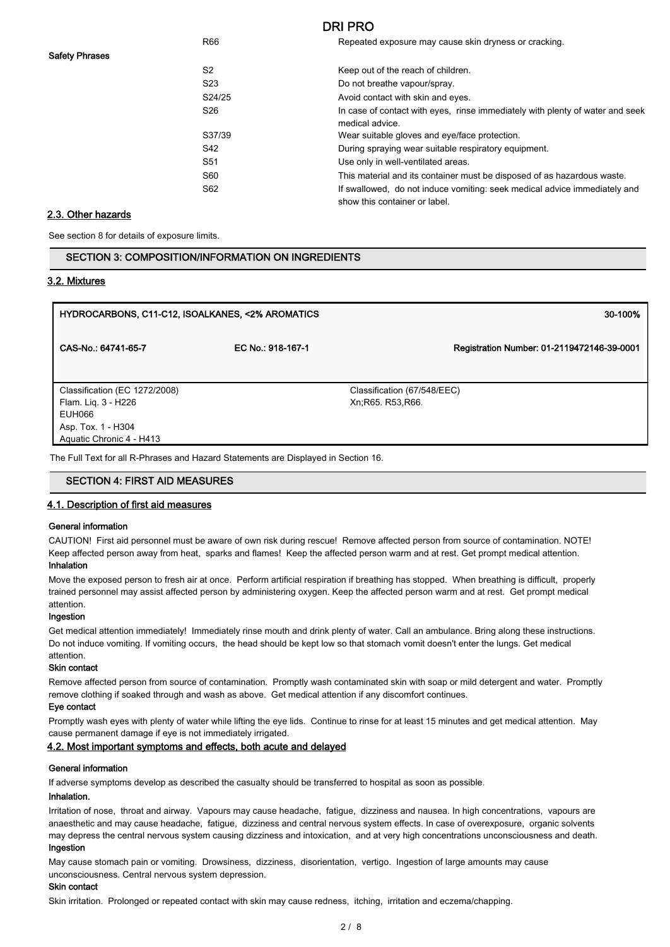# R66 Repeated exposure may cause skin dryness or cracking. S<sub>2</sub> Keep out of the reach of children. S23 Do not breathe vapour/spray. S24/25 Avoid contact with skin and eyes. S26 **In case of contact with eyes, rinse immediately with plenty of water and seek** medical advice. S37/39 Wear suitable gloves and eye/face protection. S42 **During spraying wear suitable respiratory equipment.** S51 Use only in well-ventilated areas. S60 This material and its container must be disposed of as hazardous waste. S62 If swallowed, do not induce vomiting: seek medical advice immediately and show this container or label.

## 2.3. Other hazards

See section 8 for details of exposure limits.

| SECTION 3: COMPOSITION/INFORMATION ON INGREDIENTS. |
|----------------------------------------------------|
|----------------------------------------------------|

#### 3.2. Mixtures

| HYDROCARBONS, C11-C12, ISOALKANES, <2% AROMATICS                                                                 |                   | 30-100%                                          |
|------------------------------------------------------------------------------------------------------------------|-------------------|--------------------------------------------------|
| CAS-No.: 64741-65-7                                                                                              | EC No.: 918-167-1 | Registration Number: 01-2119472146-39-0001       |
| Classification (EC 1272/2008)<br>Flam. Lig. 3 - H226<br>EUH066<br>Asp. Tox. 1 - H304<br>Aquatic Chronic 4 - H413 |                   | Classification (67/548/EEC)<br>Xn:R65, R53, R66. |
| The Full Text for all R-Phrases and Hazard Statements are Displayed in Section 16.                               |                   |                                                  |

## SECTION 4: FIRST AID MEASURES

#### 4.1. Description of first aid measures

#### General information

CAUTION! First aid personnel must be aware of own risk during rescue! Remove affected person from source of contamination. NOTE! Keep affected person away from heat, sparks and flames! Keep the affected person warm and at rest. Get prompt medical attention. Inhalation

Move the exposed person to fresh air at once. Perform artificial respiration if breathing has stopped. When breathing is difficult, properly trained personnel may assist affected person by administering oxygen. Keep the affected person warm and at rest. Get prompt medical attention.

## Ingestion

Get medical attention immediately! Immediately rinse mouth and drink plenty of water. Call an ambulance. Bring along these instructions. Do not induce vomiting. If vomiting occurs, the head should be kept low so that stomach vomit doesn't enter the lungs. Get medical attention.

## Skin contact

Remove affected person from source of contamination. Promptly wash contaminated skin with soap or mild detergent and water. Promptly remove clothing if soaked through and wash as above. Get medical attention if any discomfort continues.

#### Eye contact

Promptly wash eyes with plenty of water while lifting the eye lids. Continue to rinse for at least 15 minutes and get medical attention. May cause permanent damage if eye is not immediately irrigated.

## 4.2. Most important symptoms and effects, both acute and delayed

## General information

If adverse symptoms develop as described the casualty should be transferred to hospital as soon as possible.

#### Inhalation.

Irritation of nose, throat and airway. Vapours may cause headache, fatigue, dizziness and nausea. In high concentrations, vapours are anaesthetic and may cause headache, fatigue, dizziness and central nervous system effects. In case of overexposure, organic solvents may depress the central nervous system causing dizziness and intoxication, and at very high concentrations unconsciousness and death. Ingestion

May cause stomach pain or vomiting. Drowsiness, dizziness, disorientation, vertigo. Ingestion of large amounts may cause unconsciousness. Central nervous system depression.

## Skin contact

Skin irritation. Prolonged or repeated contact with skin may cause redness, itching, irritation and eczema/chapping.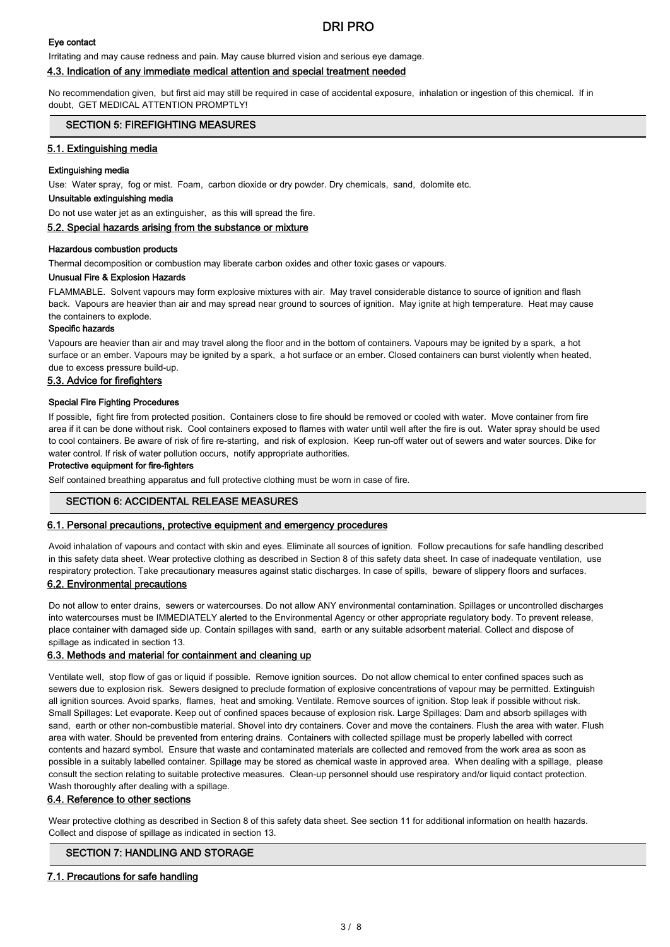## Eye contact

Irritating and may cause redness and pain. May cause blurred vision and serious eye damage.

## 4.3. Indication of any immediate medical attention and special treatment needed

No recommendation given, but first aid may still be required in case of accidental exposure, inhalation or ingestion of this chemical. If in doubt, GET MEDICAL ATTENTION PROMPTLY!

## SECTION 5: FIREFIGHTING MEASURES

## 5.1. Extinguishing media

#### Extinguishing media

Use: Water spray, fog or mist. Foam, carbon dioxide or dry powder. Dry chemicals, sand, dolomite etc.

#### Unsuitable extinguishing media

Do not use water jet as an extinguisher, as this will spread the fire.

#### 5.2. Special hazards arising from the substance or mixture

#### Hazardous combustion products

Thermal decomposition or combustion may liberate carbon oxides and other toxic gases or vapours.

## Unusual Fire & Explosion Hazards

FLAMMABLE. Solvent vapours may form explosive mixtures with air. May travel considerable distance to source of ignition and flash back. Vapours are heavier than air and may spread near ground to sources of ignition. May ignite at high temperature. Heat may cause the containers to explode.

## Specific hazards

Vapours are heavier than air and may travel along the floor and in the bottom of containers. Vapours may be ignited by a spark, a hot surface or an ember. Vapours may be ignited by a spark, a hot surface or an ember. Closed containers can burst violently when heated, due to excess pressure build-up.

## 5.3. Advice for firefighters

#### Special Fire Fighting Procedures

If possible, fight fire from protected position. Containers close to fire should be removed or cooled with water. Move container from fire area if it can be done without risk. Cool containers exposed to flames with water until well after the fire is out. Water spray should be used to cool containers. Be aware of risk of fire re-starting, and risk of explosion. Keep run-off water out of sewers and water sources. Dike for water control. If risk of water pollution occurs, notify appropriate authorities.

#### Protective equipment for fire-fighters

Self contained breathing apparatus and full protective clothing must be worn in case of fire.

## SECTION 6: ACCIDENTAL RELEASE MEASURES

### 6.1. Personal precautions, protective equipment and emergency procedures

Avoid inhalation of vapours and contact with skin and eyes. Eliminate all sources of ignition. Follow precautions for safe handling described in this safety data sheet. Wear protective clothing as described in Section 8 of this safety data sheet. In case of inadequate ventilation, use respiratory protection. Take precautionary measures against static discharges. In case of spills, beware of slippery floors and surfaces.

#### 6.2. Environmental precautions

Do not allow to enter drains, sewers or watercourses. Do not allow ANY environmental contamination. Spillages or uncontrolled discharges into watercourses must be IMMEDIATELY alerted to the Environmental Agency or other appropriate regulatory body. To prevent release, place container with damaged side up. Contain spillages with sand, earth or any suitable adsorbent material. Collect and dispose of spillage as indicated in section 13.

#### 6.3. Methods and material for containment and cleaning up

Ventilate well, stop flow of gas or liquid if possible. Remove ignition sources. Do not allow chemical to enter confined spaces such as sewers due to explosion risk. Sewers designed to preclude formation of explosive concentrations of vapour may be permitted. Extinguish all ignition sources. Avoid sparks, flames, heat and smoking. Ventilate. Remove sources of ignition. Stop leak if possible without risk. Small Spillages: Let evaporate. Keep out of confined spaces because of explosion risk. Large Spillages: Dam and absorb spillages with sand, earth or other non-combustible material. Shovel into dry containers. Cover and move the containers. Flush the area with water. Flush area with water. Should be prevented from entering drains. Containers with collected spillage must be properly labelled with correct contents and hazard symbol. Ensure that waste and contaminated materials are collected and removed from the work area as soon as possible in a suitably labelled container. Spillage may be stored as chemical waste in approved area. When dealing with a spillage, please consult the section relating to suitable protective measures. Clean-up personnel should use respiratory and/or liquid contact protection. Wash thoroughly after dealing with a spillage.

#### 6.4. Reference to other sections

Wear protective clothing as described in Section 8 of this safety data sheet. See section 11 for additional information on health hazards. Collect and dispose of spillage as indicated in section 13.

## SECTION 7: HANDLING AND STORAGE

## 7.1. Precautions for safe handling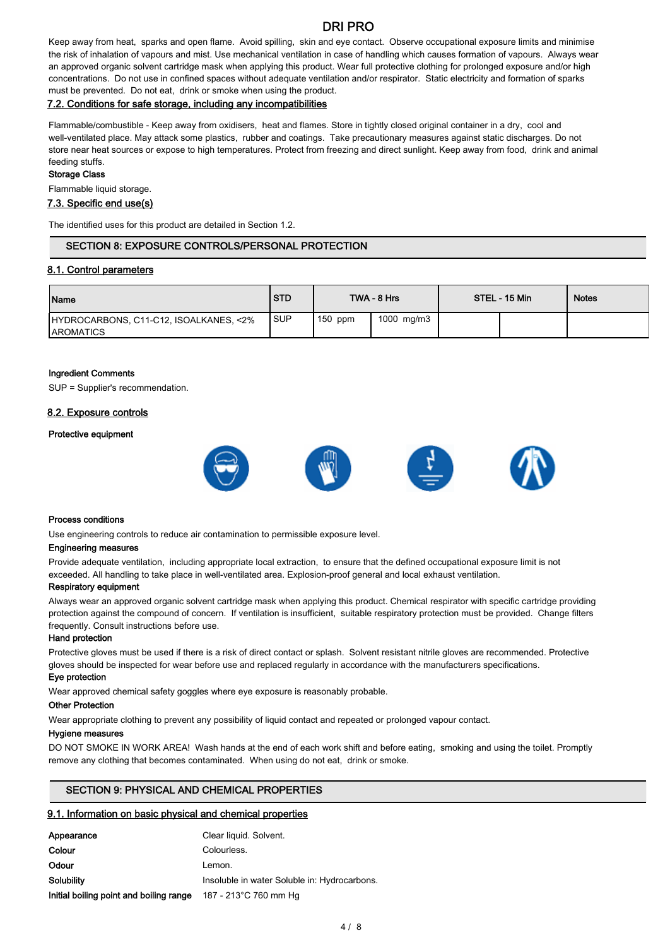Keep away from heat, sparks and open flame. Avoid spilling, skin and eye contact. Observe occupational exposure limits and minimise the risk of inhalation of vapours and mist. Use mechanical ventilation in case of handling which causes formation of vapours. Always wear an approved organic solvent cartridge mask when applying this product. Wear full protective clothing for prolonged exposure and/or high concentrations. Do not use in confined spaces without adequate ventilation and/or respirator. Static electricity and formation of sparks must be prevented. Do not eat, drink or smoke when using the product.

## 7.2. Conditions for safe storage, including any incompatibilities

Flammable/combustible - Keep away from oxidisers, heat and flames. Store in tightly closed original container in a dry, cool and well-ventilated place. May attack some plastics, rubber and coatings. Take precautionary measures against static discharges. Do not store near heat sources or expose to high temperatures. Protect from freezing and direct sunlight. Keep away from food, drink and animal feeding stuffs.

## Storage Class

Flammable liquid storage.

## 7.3. Specific end use(s)

The identified uses for this product are detailed in Section 1.2.

## SECTION 8: EXPOSURE CONTROLS/PERSONAL PROTECTION

#### 8.1. Control parameters

| <b>Name</b>                                                 | <b>STD</b> |           | TWA - 8 Hrs | STEL - 15 Min | <b>Notes</b> |
|-------------------------------------------------------------|------------|-----------|-------------|---------------|--------------|
| HYDROCARBONS, C11-C12, ISOALKANES, <2%<br><b>IAROMATICS</b> | <b>SUP</b> | $150$ ppm | 1000 mg/m3  |               |              |

#### Ingredient Comments

SUP = Supplier's recommendation.

## 8.2. Exposure controls

#### Protective equipment



#### Process conditions

Use engineering controls to reduce air contamination to permissible exposure level.

#### Engineering measures

Provide adequate ventilation, including appropriate local extraction, to ensure that the defined occupational exposure limit is not exceeded. All handling to take place in well-ventilated area. Explosion-proof general and local exhaust ventilation.

## Respiratory equipment

Always wear an approved organic solvent cartridge mask when applying this product. Chemical respirator with specific cartridge providing protection against the compound of concern. If ventilation is insufficient, suitable respiratory protection must be provided. Change filters frequently. Consult instructions before use.

#### Hand protection

Protective gloves must be used if there is a risk of direct contact or splash. Solvent resistant nitrile gloves are recommended. Protective gloves should be inspected for wear before use and replaced regularly in accordance with the manufacturers specifications.

## Eye protection

Wear approved chemical safety goggles where eye exposure is reasonably probable.

## Other Protection

Wear appropriate clothing to prevent any possibility of liquid contact and repeated or prolonged vapour contact.

## Hygiene measures

DO NOT SMOKE IN WORK AREA! Wash hands at the end of each work shift and before eating, smoking and using the toilet. Promptly remove any clothing that becomes contaminated. When using do not eat, drink or smoke.

## SECTION 9: PHYSICAL AND CHEMICAL PROPERTIES

## 9.1. Information on basic physical and chemical properties

| Appearance                              | Clear liquid. Solvent.                       |
|-----------------------------------------|----------------------------------------------|
| Colour                                  | Colourless.                                  |
| Odour                                   | Lemon.                                       |
| Solubility                              | Insoluble in water Soluble in: Hydrocarbons. |
| Initial boiling point and boiling range | 187 - 213°C 760 mm Hg                        |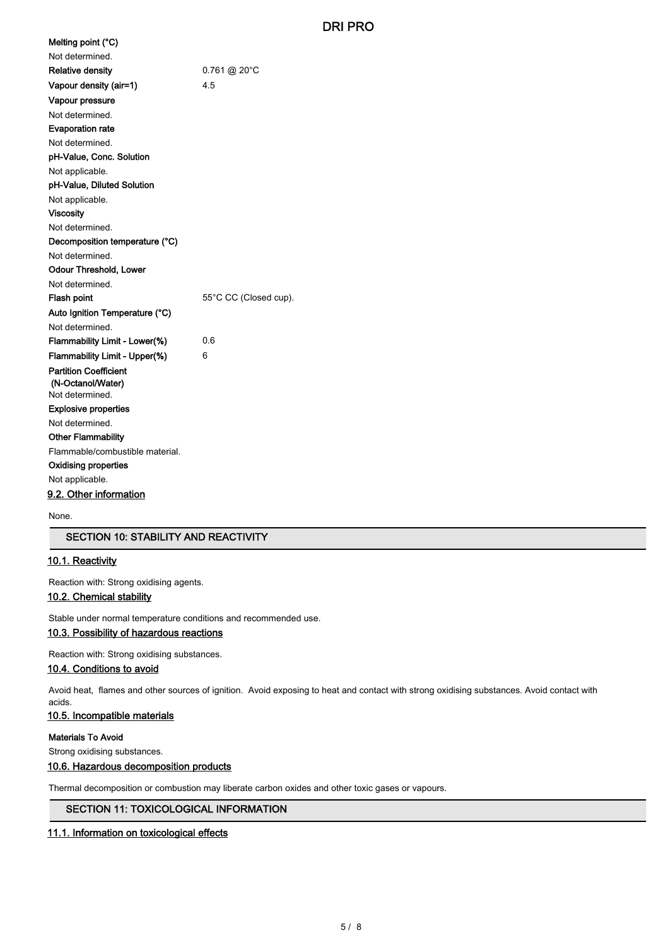| Melting point (°C)              |                          |
|---------------------------------|--------------------------|
| Not determined.                 |                          |
| <b>Relative density</b>         | $0.761 \ @.20^{\circ}$ C |
| Vapour density (air=1)          | 4.5                      |
| Vapour pressure                 |                          |
| Not determined.                 |                          |
| <b>Evaporation rate</b>         |                          |
| Not determined.                 |                          |
| pH-Value, Conc. Solution        |                          |
| Not applicable.                 |                          |
| pH-Value, Diluted Solution      |                          |
| Not applicable.                 |                          |
| <b>Viscosity</b>                |                          |
| Not determined.                 |                          |
| Decomposition temperature (°C)  |                          |
| Not determined.                 |                          |
| <b>Odour Threshold, Lower</b>   |                          |
| Not determined.                 |                          |
| <b>Flash point</b>              | 55°C CC (Closed cup).    |
| Auto Ignition Temperature (°C)  |                          |
| Not determined.                 |                          |
| Flammability Limit - Lower(%)   | 06                       |
| Flammability Limit - Upper(%)   | 6                        |
| <b>Partition Coefficient</b>    |                          |
| (N-Octanol/Water)               |                          |
| Not determined.                 |                          |
| <b>Explosive properties</b>     |                          |
| Not determined.                 |                          |
| <b>Other Flammability</b>       |                          |
| Flammable/combustible material. |                          |
| Oxidising properties            |                          |
| Not applicable.                 |                          |
| 9.2. Other information          |                          |

None.

## SECTION 10: STABILITY AND REACTIVITY

## 10.1. Reactivity

Reaction with: Strong oxidising agents.

## 10.2. Chemical stability

Stable under normal temperature conditions and recommended use.

## 10.3. Possibility of hazardous reactions

Reaction with: Strong oxidising substances.

## 10.4. Conditions to avoid

Avoid heat, flames and other sources of ignition. Avoid exposing to heat and contact with strong oxidising substances. Avoid contact with acids.

## 10.5. Incompatible materials

## Materials To Avoid

Strong oxidising substances.

## 10.6. Hazardous decomposition products

Thermal decomposition or combustion may liberate carbon oxides and other toxic gases or vapours.

## SECTION 11: TOXICOLOGICAL INFORMATION

## 11.1. Information on toxicological effects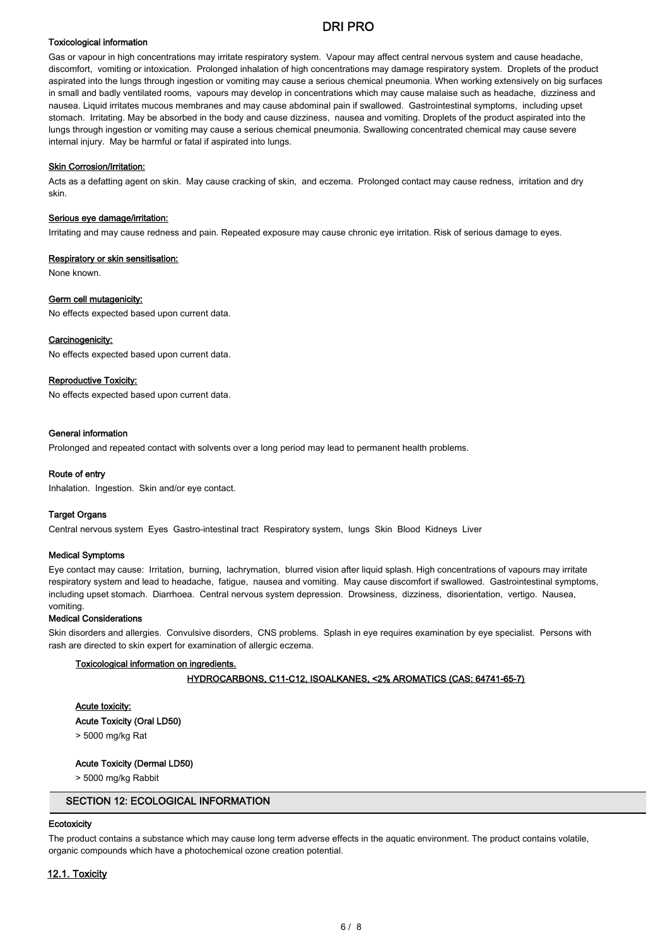## Toxicological information

Gas or vapour in high concentrations may irritate respiratory system. Vapour may affect central nervous system and cause headache, discomfort, vomiting or intoxication. Prolonged inhalation of high concentrations may damage respiratory system. Droplets of the product aspirated into the lungs through ingestion or vomiting may cause a serious chemical pneumonia. When working extensively on big surfaces in small and badly ventilated rooms, vapours may develop in concentrations which may cause malaise such as headache, dizziness and nausea. Liquid irritates mucous membranes and may cause abdominal pain if swallowed. Gastrointestinal symptoms, including upset stomach. Irritating. May be absorbed in the body and cause dizziness, nausea and vomiting. Droplets of the product aspirated into the lungs through ingestion or vomiting may cause a serious chemical pneumonia. Swallowing concentrated chemical may cause severe internal injury. May be harmful or fatal if aspirated into lungs.

## **Skin Corrosion/Irritation:**

Acts as a defatting agent on skin. May cause cracking of skin, and eczema. Prolonged contact may cause redness, irritation and dry skin.

#### Serious eye damage/irritation:

Irritating and may cause redness and pain. Repeated exposure may cause chronic eye irritation. Risk of serious damage to eyes.

#### Respiratory or skin sensitisation:

None known.

#### Germ cell mutagenicity:

No effects expected based upon current data.

#### Carcinogenicity:

No effects expected based upon current data.

### Reproductive Toxicity:

No effects expected based upon current data.

#### General information

Prolonged and repeated contact with solvents over a long period may lead to permanent health problems.

#### Route of entry

Inhalation. Ingestion. Skin and/or eye contact.

#### Target Organs

Central nervous system Eyes Gastro-intestinal tract Respiratory system, lungs Skin Blood Kidneys Liver

#### Medical Symptoms

Eye contact may cause: Irritation, burning, lachrymation, blurred vision after liquid splash. High concentrations of vapours may irritate respiratory system and lead to headache, fatigue, nausea and vomiting. May cause discomfort if swallowed. Gastrointestinal symptoms, including upset stomach. Diarrhoea. Central nervous system depression. Drowsiness, dizziness, disorientation, vertigo. Nausea, vomiting.

#### Medical Considerations

Skin disorders and allergies. Convulsive disorders, CNS problems. Splash in eye requires examination by eye specialist. Persons with rash are directed to skin expert for examination of allergic eczema.

#### Toxicological information on ingredients.

## HYDROCARBONS, C11-C12, ISOALKANES, <2% AROMATICS (CAS: 64741-65-7)

## Acute toxicity:

Acute Toxicity (Oral LD50)

> 5000 mg/kg Rat

## Acute Toxicity (Dermal LD50)

> 5000 mg/kg Rabbit

## SECTION 12: ECOLOGICAL INFORMATION

## **Ecotoxicity**

The product contains a substance which may cause long term adverse effects in the aquatic environment. The product contains volatile, organic compounds which have a photochemical ozone creation potential.

# 12.1. Toxicity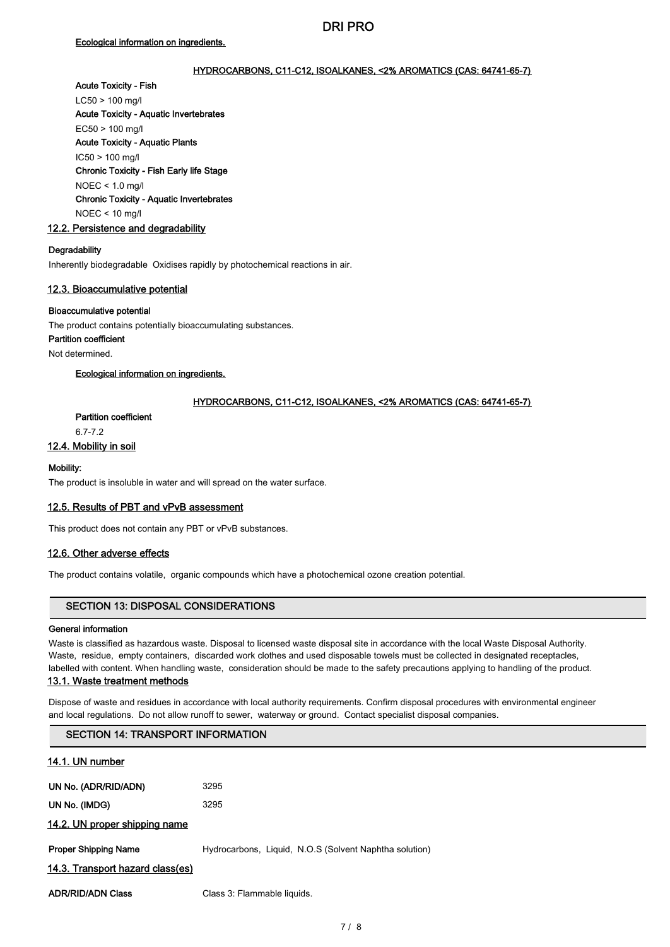## HYDROCARBONS, C11-C12, ISOALKANES, <2% AROMATICS (CAS: 64741-65-7)

## Acute Toxicity - Fish

LC50 > 100 mg/l Acute Toxicity - Aquatic Invertebrates EC50 > 100 mg/l Acute Toxicity - Aquatic Plants IC50 > 100 mg/l Chronic Toxicity - Fish Early life Stage NOEC < 1.0 mg/l Chronic Toxicity - Aquatic Invertebrates NOEC < 10 mg/l

## 12.2. Persistence and degradability

#### **Degradability**

Inherently biodegradable Oxidises rapidly by photochemical reactions in air.

#### 12.3. Bioaccumulative potential

#### Bioaccumulative potential

The product contains potentially bioaccumulating substances.

## Partition coefficient

Not determined.

## Ecological information on ingredients.

## HYDROCARBONS, C11-C12, ISOALKANES, <2% AROMATICS (CAS: 64741-65-7)

## Partition coefficient

6.7-7.2

## 12.4. Mobility in soil

## Mobility:

The product is insoluble in water and will spread on the water surface.

## 12.5. Results of PBT and vPvB assessment

This product does not contain any PBT or vPvB substances.

## 12.6. Other adverse effects

The product contains volatile, organic compounds which have a photochemical ozone creation potential.

## SECTION 13: DISPOSAL CONSIDERATIONS

#### General information

Waste is classified as hazardous waste. Disposal to licensed waste disposal site in accordance with the local Waste Disposal Authority. Waste, residue, empty containers, discarded work clothes and used disposable towels must be collected in designated receptacles, labelled with content. When handling waste, consideration should be made to the safety precautions applying to handling of the product.

## 13.1. Waste treatment methods

Dispose of waste and residues in accordance with local authority requirements. Confirm disposal procedures with environmental engineer and local regulations. Do not allow runoff to sewer, waterway or ground. Contact specialist disposal companies.

## SECTION 14: TRANSPORT INFORMATION

## 14.1. UN number

| UN No. (ADR/RID/ADN)             | 3295                                                   |
|----------------------------------|--------------------------------------------------------|
| UN No. (IMDG)                    | 3295                                                   |
| 14.2. UN proper shipping name    |                                                        |
| <b>Proper Shipping Name</b>      | Hydrocarbons, Liquid, N.O.S (Solvent Naphtha solution) |
| 14.3. Transport hazard class(es) |                                                        |
| <b>ADR/RID/ADN Class</b>         | Class 3: Flammable liquids.                            |